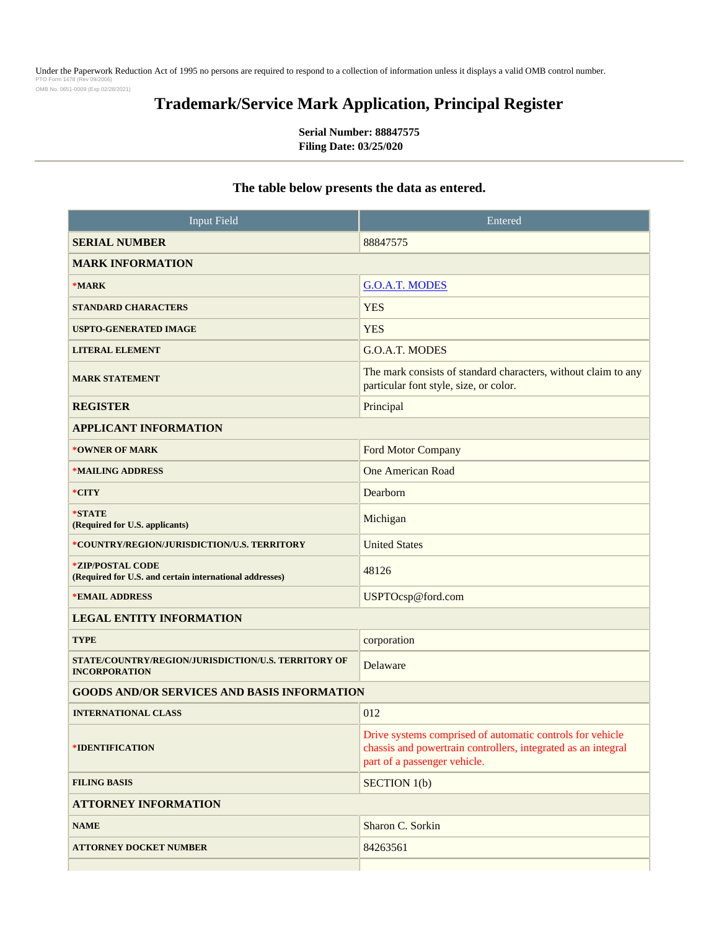Under the Paperwork Reduction Act of 1995 no persons are required to respond to a collection of information unless it displays a valid OMB control number.<br>PTO Form 1478 (Rev 09/2006) PTO Fo OMB No. 0651-0009 (Exp 02/28/2021)

# **Trademark/Service Mark Application, Principal Register**

**Serial Number: 88847575 Filing Date: 03/25/020**

## **The table below presents the data as entered.**

| <b>Input Field</b>                                                          | Entered                                                                                                                                                    |
|-----------------------------------------------------------------------------|------------------------------------------------------------------------------------------------------------------------------------------------------------|
| <b>SERIAL NUMBER</b>                                                        | 88847575                                                                                                                                                   |
| <b>MARK INFORMATION</b>                                                     |                                                                                                                                                            |
| $*MARK$                                                                     | <b>G.O.A.T. MODES</b>                                                                                                                                      |
| <b>STANDARD CHARACTERS</b>                                                  | <b>YES</b>                                                                                                                                                 |
| <b>USPTO-GENERATED IMAGE</b>                                                | <b>YES</b>                                                                                                                                                 |
| <b>LITERAL ELEMENT</b>                                                      | G.O.A.T. MODES                                                                                                                                             |
| <b>MARK STATEMENT</b>                                                       | The mark consists of standard characters, without claim to any<br>particular font style, size, or color.                                                   |
| <b>REGISTER</b>                                                             | Principal                                                                                                                                                  |
| <b>APPLICANT INFORMATION</b>                                                |                                                                                                                                                            |
| *OWNER OF MARK                                                              | Ford Motor Company                                                                                                                                         |
| *MAILING ADDRESS                                                            | <b>One American Road</b>                                                                                                                                   |
| *CITY                                                                       | Dearborn                                                                                                                                                   |
| *STATE<br>(Required for U.S. applicants)                                    | Michigan                                                                                                                                                   |
| *COUNTRY/REGION/JURISDICTION/U.S. TERRITORY                                 | <b>United States</b>                                                                                                                                       |
| *ZIP/POSTAL CODE<br>(Required for U.S. and certain international addresses) | 48126                                                                                                                                                      |
| *EMAIL ADDRESS                                                              | USPTOcsp@ford.com                                                                                                                                          |
| <b>LEGAL ENTITY INFORMATION</b>                                             |                                                                                                                                                            |
| <b>TYPE</b>                                                                 | corporation                                                                                                                                                |
| STATE/COUNTRY/REGION/JURISDICTION/U.S. TERRITORY OF<br><b>INCORPORATION</b> | Delaware                                                                                                                                                   |
| <b>GOODS AND/OR SERVICES AND BASIS INFORMATION</b>                          |                                                                                                                                                            |
| <b>INTERNATIONAL CLASS</b>                                                  | 012                                                                                                                                                        |
| <i><b>*IDENTIFICATION</b></i>                                               | Drive systems comprised of automatic controls for vehicle<br>chassis and powertrain controllers, integrated as an integral<br>part of a passenger vehicle. |
| <b>FILING BASIS</b>                                                         | <b>SECTION 1(b)</b>                                                                                                                                        |
| <b>ATTORNEY INFORMATION</b>                                                 |                                                                                                                                                            |
| <b>NAME</b>                                                                 | Sharon C. Sorkin                                                                                                                                           |
| <b>ATTORNEY DOCKET NUMBER</b>                                               | 84263561                                                                                                                                                   |
|                                                                             |                                                                                                                                                            |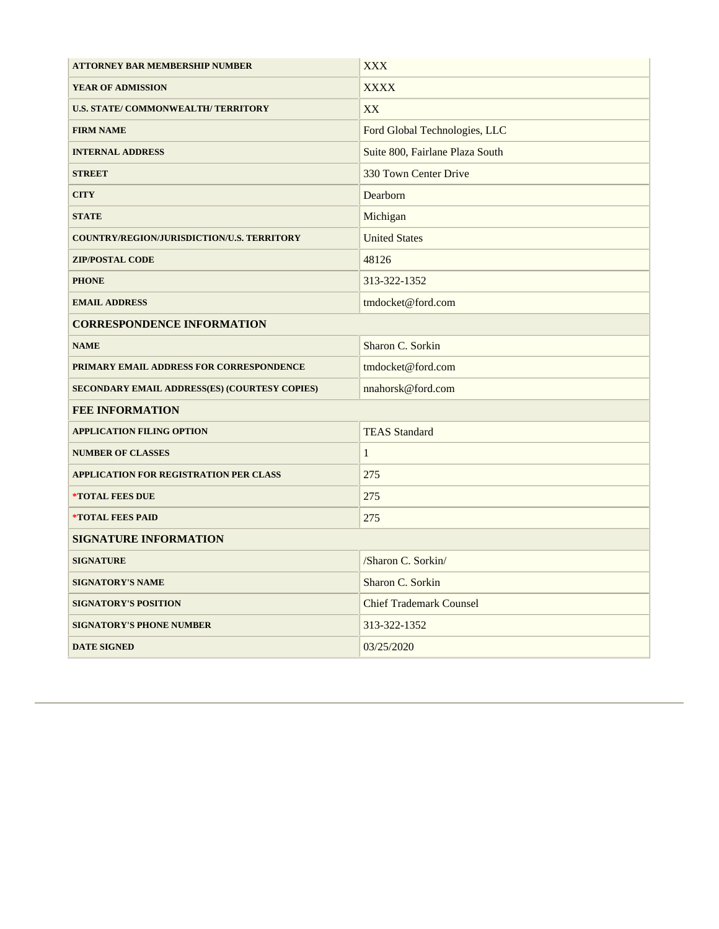| <b>ATTORNEY BAR MEMBERSHIP NUMBER</b>                | <b>XXX</b>                      |
|------------------------------------------------------|---------------------------------|
| YEAR OF ADMISSION                                    | <b>XXXX</b>                     |
| U.S. STATE/COMMONWEALTH/TERRITORY                    | XX                              |
| <b>FIRM NAME</b>                                     | Ford Global Technologies, LLC   |
| <b>INTERNAL ADDRESS</b>                              | Suite 800, Fairlane Plaza South |
| <b>STREET</b>                                        | 330 Town Center Drive           |
| <b>CITY</b>                                          | Dearborn                        |
| <b>STATE</b>                                         | Michigan                        |
| COUNTRY/REGION/JURISDICTION/U.S. TERRITORY           | <b>United States</b>            |
| <b>ZIP/POSTAL CODE</b>                               | 48126                           |
| <b>PHONE</b>                                         | 313-322-1352                    |
| <b>EMAIL ADDRESS</b>                                 | tmdocket@ford.com               |
| <b>CORRESPONDENCE INFORMATION</b>                    |                                 |
| <b>NAME</b>                                          | Sharon C. Sorkin                |
| PRIMARY EMAIL ADDRESS FOR CORRESPONDENCE             | tmdocket@ford.com               |
| <b>SECONDARY EMAIL ADDRESS(ES) (COURTESY COPIES)</b> | nnahorsk@ford.com               |
| <b>FEE INFORMATION</b>                               |                                 |
| <b>APPLICATION FILING OPTION</b>                     | <b>TEAS Standard</b>            |
| <b>NUMBER OF CLASSES</b>                             | $\mathbf{1}$                    |
| <b>APPLICATION FOR REGISTRATION PER CLASS</b>        | 275                             |
| *TOTAL FEES DUE                                      | 275                             |
| *TOTAL FEES PAID                                     | 275                             |
| <b>SIGNATURE INFORMATION</b>                         |                                 |
| <b>SIGNATURE</b>                                     | /Sharon C. Sorkin/              |
| <b>SIGNATORY'S NAME</b>                              | Sharon C. Sorkin                |
| <b>SIGNATORY'S POSITION</b>                          | <b>Chief Trademark Counsel</b>  |
| <b>SIGNATORY'S PHONE NUMBER</b>                      | 313-322-1352                    |
| <b>DATE SIGNED</b>                                   | 03/25/2020                      |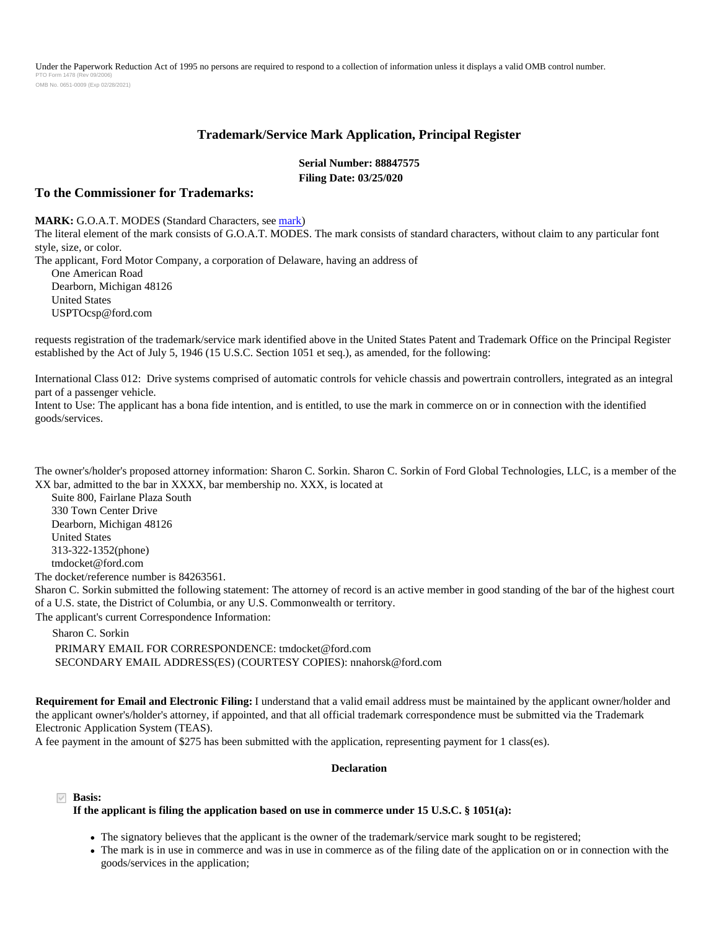Under the Paperwork Reduction Act of 1995 no persons are required to respond to a collection of information unless it displays a valid OMB control number. PTO Form 1478 (Rev 09/2006) OMB No. 0651-0009 (Exp 02/28/2021)

### **Trademark/Service Mark Application, Principal Register**

**Serial Number: 88847575 Filing Date: 03/25/020**

#### **To the Commissioner for Trademarks:**

**MARK:** G.O.A.T. MODES (Standard Characters, see [mark](../APP0002.JPG))

The literal element of the mark consists of G.O.A.T. MODES. The mark consists of standard characters, without claim to any particular font style, size, or color.

The applicant, Ford Motor Company, a corporation of Delaware, having an address of One American Road Dearborn, Michigan 48126 United States USPTOcsp@ford.com

requests registration of the trademark/service mark identified above in the United States Patent and Trademark Office on the Principal Register established by the Act of July 5, 1946 (15 U.S.C. Section 1051 et seq.), as amended, for the following:

International Class 012: Drive systems comprised of automatic controls for vehicle chassis and powertrain controllers, integrated as an integral part of a passenger vehicle.

Intent to Use: The applicant has a bona fide intention, and is entitled, to use the mark in commerce on or in connection with the identified goods/services.

The owner's/holder's proposed attorney information: Sharon C. Sorkin. Sharon C. Sorkin of Ford Global Technologies, LLC, is a member of the XX bar, admitted to the bar in XXXX, bar membership no. XXX, is located at

 Suite 800, Fairlane Plaza South 330 Town Center Drive Dearborn, Michigan 48126 United States 313-322-1352(phone) tmdocket@ford.com

The docket/reference number is 84263561.

Sharon C. Sorkin submitted the following statement: The attorney of record is an active member in good standing of the bar of the highest court of a U.S. state, the District of Columbia, or any U.S. Commonwealth or territory.

The applicant's current Correspondence Information:

Sharon C. Sorkin

 PRIMARY EMAIL FOR CORRESPONDENCE: tmdocket@ford.com SECONDARY EMAIL ADDRESS(ES) (COURTESY COPIES): nnahorsk@ford.com

**Requirement for Email and Electronic Filing:** I understand that a valid email address must be maintained by the applicant owner/holder and the applicant owner's/holder's attorney, if appointed, and that all official trademark correspondence must be submitted via the Trademark Electronic Application System (TEAS).

A fee payment in the amount of \$275 has been submitted with the application, representing payment for 1 class(es).

#### **Declaration**

**Basis:**

#### **If the applicant is filing the application based on use in commerce under 15 U.S.C. § 1051(a):**

- The signatory believes that the applicant is the owner of the trademark/service mark sought to be registered;
- The mark is in use in commerce and was in use in commerce as of the filing date of the application on or in connection with the goods/services in the application;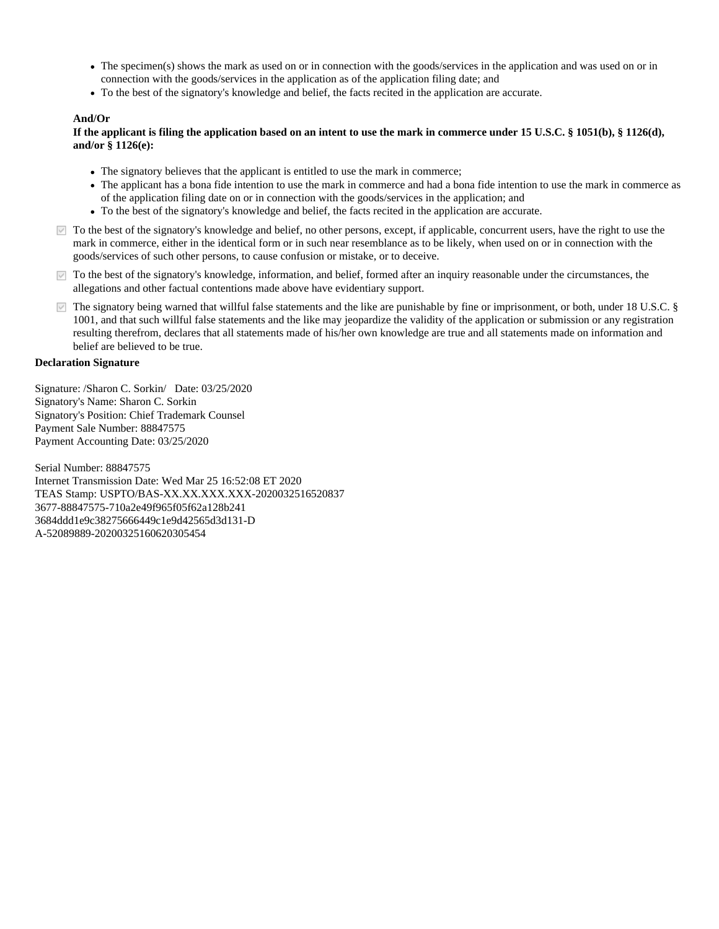- The specimen(s) shows the mark as used on or in connection with the goods/services in the application and was used on or in connection with the goods/services in the application as of the application filing date; and
- To the best of the signatory's knowledge and belief, the facts recited in the application are accurate.

#### **And/Or**

#### **If the applicant is filing the application based on an intent to use the mark in commerce under 15 U.S.C. § 1051(b), § 1126(d), and/or § 1126(e):**

- The signatory believes that the applicant is entitled to use the mark in commerce;
- The applicant has a bona fide intention to use the mark in commerce and had a bona fide intention to use the mark in commerce as of the application filing date on or in connection with the goods/services in the application; and
- To the best of the signatory's knowledge and belief, the facts recited in the application are accurate.
- $\blacksquare$  To the best of the signatory's knowledge and belief, no other persons, except, if applicable, concurrent users, have the right to use the mark in commerce, either in the identical form or in such near resemblance as to be likely, when used on or in connection with the goods/services of such other persons, to cause confusion or mistake, or to deceive.
- $\triangledown$  To the best of the signatory's knowledge, information, and belief, formed after an inquiry reasonable under the circumstances, the allegations and other factual contentions made above have evidentiary support.
- The signatory being warned that willful false statements and the like are punishable by fine or imprisonment, or both, under 18 U.S.C. § 1001, and that such willful false statements and the like may jeopardize the validity of the application or submission or any registration resulting therefrom, declares that all statements made of his/her own knowledge are true and all statements made on information and belief are believed to be true.

#### **Declaration Signature**

Signature: /Sharon C. Sorkin/ Date: 03/25/2020 Signatory's Name: Sharon C. Sorkin Signatory's Position: Chief Trademark Counsel Payment Sale Number: 88847575 Payment Accounting Date: 03/25/2020

Serial Number: 88847575 Internet Transmission Date: Wed Mar 25 16:52:08 ET 2020 TEAS Stamp: USPTO/BAS-XX.XX.XXX.XXX-2020032516520837 3677-88847575-710a2e49f965f05f62a128b241 3684ddd1e9c38275666449c1e9d42565d3d131-D A-52089889-20200325160620305454